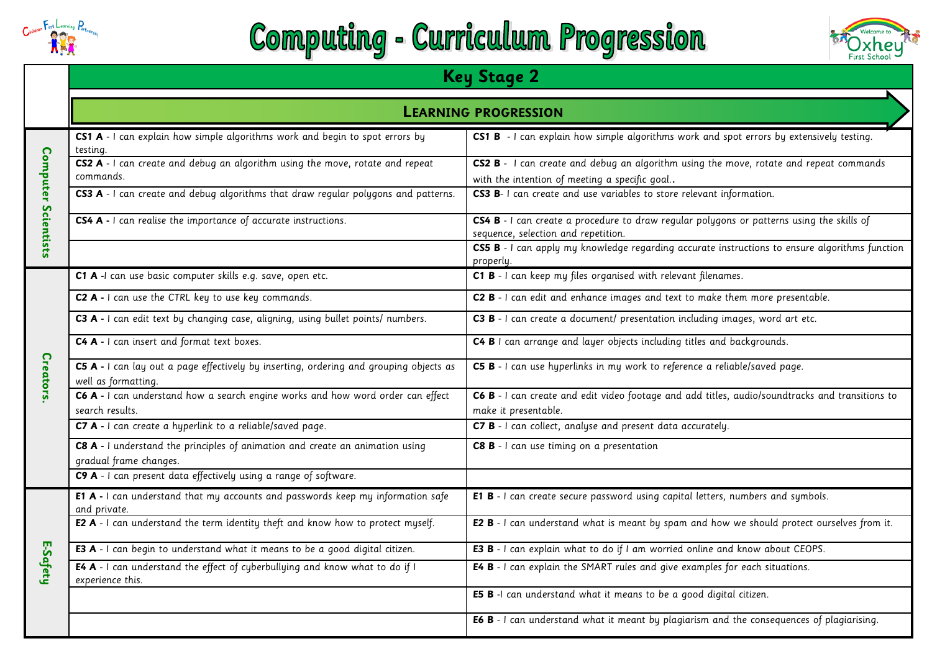

## **Computing - Curriculum Progression**



|                            | <b>LEARNING PROGRESSION</b>                                                                                   |                                                                                                                                         |  |  |  |
|----------------------------|---------------------------------------------------------------------------------------------------------------|-----------------------------------------------------------------------------------------------------------------------------------------|--|--|--|
|                            | CS1 A - I can explain how simple algorithms work and begin to spot errors by<br>testing.                      | CS1 B - I can explain how simple algorithms work and spot errors by extensively testing.                                                |  |  |  |
|                            | CS2 A - I can create and debug an algorithm using the move, rotate and repeat<br>commands.                    | CS2 B - I can create and debug an algorithm using the move, rotate and repeat commands<br>with the intention of meeting a specific goal |  |  |  |
|                            | CS3 A - I can create and debug algorithms that draw regular polygons and patterns.                            | CS3 B- I can create and use variables to store relevant information.                                                                    |  |  |  |
| <b>Computer Scientists</b> | CS4 A - I can realise the importance of accurate instructions.                                                | CS4 B - I can create a procedure to draw regular polygons or patterns using the skills of<br>sequence, selection and repetition.        |  |  |  |
|                            |                                                                                                               | CS5 B - I can apply my knowledge regarding accurate instructions to ensure algorithms function<br>properly.                             |  |  |  |
|                            | C1 A -I can use basic computer skills e.g. save, open etc.                                                    | C1 B - I can keep my files organised with relevant filenames.                                                                           |  |  |  |
|                            | C2 A - I can use the CTRL key to use key commands.                                                            | C2 B - I can edit and enhance images and text to make them more presentable.                                                            |  |  |  |
|                            | C3 A - I can edit text by changing case, aligning, using bullet points/ numbers.                              | C3 B - I can create a document/ presentation including images, word art etc.                                                            |  |  |  |
|                            | C4 A - I can insert and format text boxes.                                                                    | C4 B I can arrange and layer objects including titles and backgrounds.                                                                  |  |  |  |
| <b>Creators</b>            | C5 A - I can lay out a page effectively by inserting, ordering and grouping objects as<br>well as formatting. | C5 B - I can use hyperlinks in my work to reference a reliable/saved page.                                                              |  |  |  |
|                            | C6 A - I can understand how a search engine works and how word order can effect<br>search results.            | C6 B - I can create and edit video footage and add titles, audio/soundtracks and transitions to<br>make it presentable.                 |  |  |  |
|                            | C7 A - I can create a hyperlink to a reliable/saved page.                                                     | C7 B - I can collect, analyse and present data accurately.                                                                              |  |  |  |
|                            | C8 A - I understand the principles of animation and create an animation using<br>gradual frame changes.       | C8 B - I can use timing on a presentation                                                                                               |  |  |  |
|                            | C9 A - I can present data effectively using a range of software.                                              |                                                                                                                                         |  |  |  |
|                            | E1 A - I can understand that my accounts and passwords keep my information safe<br>and private.               | E1 B - I can create secure password using capital letters, numbers and symbols.                                                         |  |  |  |
|                            | E2 A - I can understand the term identity theft and know how to protect myself.                               | E2 B - I can understand what is meant by spam and how we should protect ourselves from it.                                              |  |  |  |
|                            | E3 A - I can begin to understand what it means to be a good digital citizen.                                  | E3 B - I can explain what to do if I am worried online and know about CEOPS.                                                            |  |  |  |
| E-Safety                   | E4 A - I can understand the effect of cyberbullying and know what to do if I<br>experience this.              | E4 B - I can explain the SMART rules and give examples for each situations.                                                             |  |  |  |
|                            |                                                                                                               | E5 B -I can understand what it means to be a good digital citizen.                                                                      |  |  |  |
|                            |                                                                                                               | E6 B - I can understand what it meant by plagiarism and the consequences of plagiarising.                                               |  |  |  |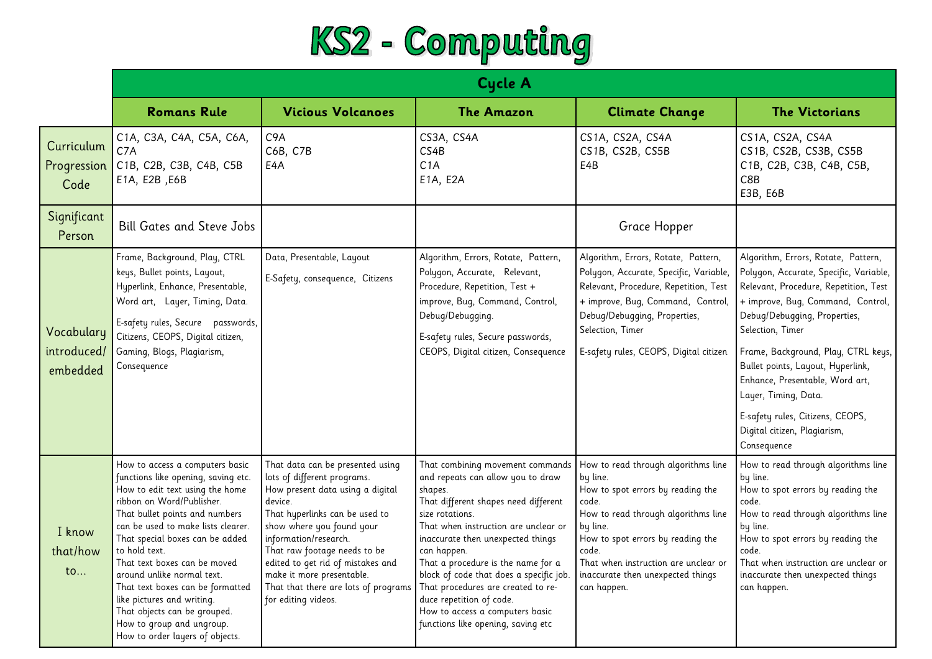

|                                       | <b>Cycle A</b>                                                                                                                                                                                                                                                                                                                                                                                                                                                                                     |                                                                                                                                                                                                                                                                                                                                                                         |                                                                                                                                                                                                                                                                                                                                                                                                                                                                     |                                                                                                                                                                                                                                                                                            |                                                                                                                                                                                                                                                                                                                                                                                                                                           |
|---------------------------------------|----------------------------------------------------------------------------------------------------------------------------------------------------------------------------------------------------------------------------------------------------------------------------------------------------------------------------------------------------------------------------------------------------------------------------------------------------------------------------------------------------|-------------------------------------------------------------------------------------------------------------------------------------------------------------------------------------------------------------------------------------------------------------------------------------------------------------------------------------------------------------------------|---------------------------------------------------------------------------------------------------------------------------------------------------------------------------------------------------------------------------------------------------------------------------------------------------------------------------------------------------------------------------------------------------------------------------------------------------------------------|--------------------------------------------------------------------------------------------------------------------------------------------------------------------------------------------------------------------------------------------------------------------------------------------|-------------------------------------------------------------------------------------------------------------------------------------------------------------------------------------------------------------------------------------------------------------------------------------------------------------------------------------------------------------------------------------------------------------------------------------------|
|                                       | <b>Romans Rule</b>                                                                                                                                                                                                                                                                                                                                                                                                                                                                                 | <b>Vicious Volcanoes</b>                                                                                                                                                                                                                                                                                                                                                | <b>The Amazon</b>                                                                                                                                                                                                                                                                                                                                                                                                                                                   | <b>Climate Change</b>                                                                                                                                                                                                                                                                      | <b>The Victorians</b>                                                                                                                                                                                                                                                                                                                                                                                                                     |
| Curriculum<br>Progression<br>Code     | C1A, C3A, C4A, C5A, C6A,<br>C7A<br>C1B, C2B, C3B, C4B, C5B<br>E1A, E2B, E6B                                                                                                                                                                                                                                                                                                                                                                                                                        | C <sub>9</sub> A<br>C6B, C7B<br>E4A                                                                                                                                                                                                                                                                                                                                     | CS3A, CS4A<br>CS4B<br>C1A<br>E1A, E2A                                                                                                                                                                                                                                                                                                                                                                                                                               | CS1A, CS2A, CS4A<br>CS1B, CS2B, CS5B<br>E4B                                                                                                                                                                                                                                                | CS1A, CS2A, CS4A<br>CS1B, CS2B, CS3B, CS5B<br>C1B, C2B, C3B, C4B, C5B,<br>C8B<br>E3B, E6B                                                                                                                                                                                                                                                                                                                                                 |
| Significant<br>Person                 | <b>Bill Gates and Steve Jobs</b>                                                                                                                                                                                                                                                                                                                                                                                                                                                                   |                                                                                                                                                                                                                                                                                                                                                                         |                                                                                                                                                                                                                                                                                                                                                                                                                                                                     | Grace Hopper                                                                                                                                                                                                                                                                               |                                                                                                                                                                                                                                                                                                                                                                                                                                           |
| Vocabulary<br>introduced/<br>embedded | Frame, Background, Play, CTRL<br>keys, Bullet points, Layout,<br>Hyperlink, Enhance, Presentable,<br>Word art, Layer, Timing, Data.<br>E-safety rules, Secure passwords,<br>Citizens, CEOPS, Digital citizen,<br>Gaming, Blogs, Plagiarism,<br>Consequence                                                                                                                                                                                                                                         | Data, Presentable, Layout<br>E-Safety, consequence, Citizens                                                                                                                                                                                                                                                                                                            | Algorithm, Errors, Rotate, Pattern,<br>Polygon, Accurate, Relevant,<br>Procedure, Repetition, Test +<br>improve, Bug, Command, Control,<br>Debug/Debugging.<br>E-safety rules, Secure passwords,<br>CEOPS, Digital citizen, Consequence                                                                                                                                                                                                                             | Algorithm, Errors, Rotate, Pattern,<br>Polygon, Accurate, Specific, Variable,<br>Relevant, Procedure, Repetition, Test<br>+ improve, Bug, Command, Control,<br>Debug/Debugging, Properties,<br>Selection, Timer<br>E-safety rules, CEOPS, Digital citizen                                  | Algorithm, Errors, Rotate, Pattern,<br>Polygon, Accurate, Specific, Variable,<br>Relevant, Procedure, Repetition, Test<br>+ improve, Bug, Command, Control,<br>Debug/Debugging, Properties,<br>Selection, Timer<br>Frame, Background, Play, CTRL keys,<br>Bullet points, Layout, Hyperlink,<br>Enhance, Presentable, Word art,<br>Layer, Timing, Data.<br>E-safety rules, Citizens, CEOPS,<br>Digital citizen, Plagiarism,<br>Consequence |
| I know<br>that/how<br>$\mathsf{to}$   | How to access a computers basic<br>functions like opening, saving etc.<br>How to edit text using the home<br>ribbon on Word/Publisher.<br>That bullet points and numbers<br>can be used to make lists clearer.<br>That special boxes can be added<br>to hold text.<br>That text boxes can be moved<br>around unlike normal text.<br>That text boxes can be formatted<br>like pictures and writing.<br>That objects can be grouped.<br>How to group and ungroup.<br>How to order layers of objects. | That data can be presented using<br>lots of different programs.<br>How present data using a digital<br>device.<br>That hyperlinks can be used to<br>show where you found your<br>information/research.<br>That raw footage needs to be<br>edited to get rid of mistakes and<br>make it more presentable.<br>That that there are lots of programs<br>for editing videos. | That combining movement commands<br>and repeats can allow you to draw<br>shapes.<br>That different shapes need different<br>size rotations.<br>That when instruction are unclear or<br>inaccurate then unexpected things<br>can happen.<br>That a procedure is the name for a<br>block of code that does a specific job.<br>That procedures are created to re-<br>duce repetition of code.<br>How to access a computers basic<br>functions like opening, saving etc | How to read through algorithms line<br>by line.<br>How to spot errors by reading the<br>code.<br>How to read through algorithms line<br>by line.<br>How to spot errors by reading the<br>code.<br>That when instruction are unclear or<br>inaccurate then unexpected things<br>can happen. | How to read through algorithms line<br>by line.<br>How to spot errors by reading the<br>code.<br>How to read through algorithms line<br>by line.<br>How to spot errors by reading the<br>code.<br>That when instruction are unclear or<br>inaccurate then unexpected things<br>can happen.                                                                                                                                                |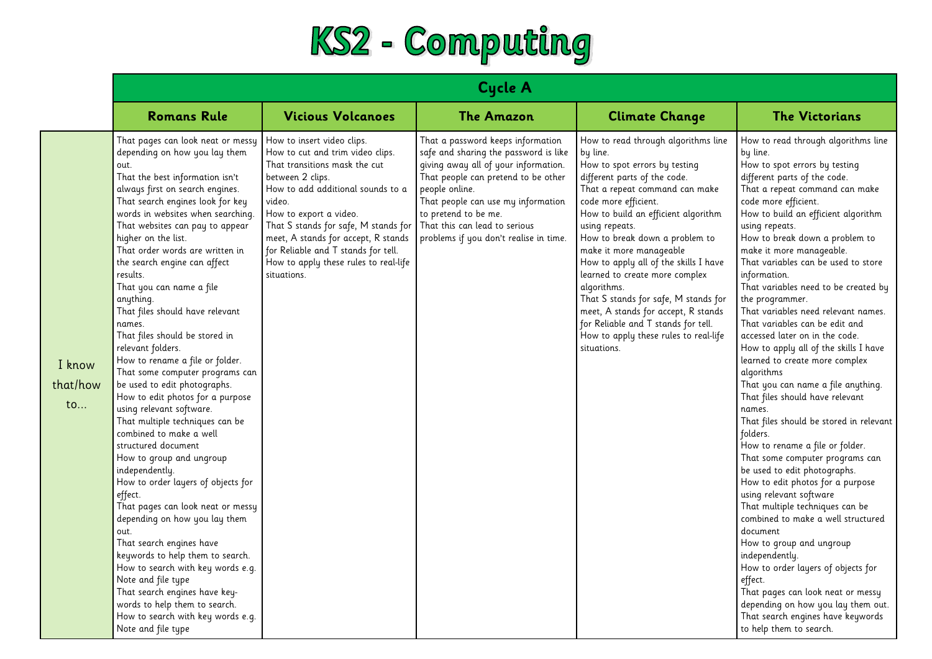

|                                     | <b>Cycle A</b>                                                                                                                                                                                                                                                                                                                                                                                                                                                                                                                                                                                                                                                                                                                                                                                                                                                                                                                                                                                                                                                                                                                                                                                                  |                                                                                                                                                                                                                                                                                                                                                                            |                                                                                                                                                                                                                                                                                                                      |                                                                                                                                                                                                                                                                                                                                                                                                                                                                                                                                                                          |                                                                                                                                                                                                                                                                                                                                                                                                                                                                                                                                                                                                                                                                                                                                                                                                                                                                                                                                                                                                                                                                                                                                                                                                                                                                       |  |
|-------------------------------------|-----------------------------------------------------------------------------------------------------------------------------------------------------------------------------------------------------------------------------------------------------------------------------------------------------------------------------------------------------------------------------------------------------------------------------------------------------------------------------------------------------------------------------------------------------------------------------------------------------------------------------------------------------------------------------------------------------------------------------------------------------------------------------------------------------------------------------------------------------------------------------------------------------------------------------------------------------------------------------------------------------------------------------------------------------------------------------------------------------------------------------------------------------------------------------------------------------------------|----------------------------------------------------------------------------------------------------------------------------------------------------------------------------------------------------------------------------------------------------------------------------------------------------------------------------------------------------------------------------|----------------------------------------------------------------------------------------------------------------------------------------------------------------------------------------------------------------------------------------------------------------------------------------------------------------------|--------------------------------------------------------------------------------------------------------------------------------------------------------------------------------------------------------------------------------------------------------------------------------------------------------------------------------------------------------------------------------------------------------------------------------------------------------------------------------------------------------------------------------------------------------------------------|-----------------------------------------------------------------------------------------------------------------------------------------------------------------------------------------------------------------------------------------------------------------------------------------------------------------------------------------------------------------------------------------------------------------------------------------------------------------------------------------------------------------------------------------------------------------------------------------------------------------------------------------------------------------------------------------------------------------------------------------------------------------------------------------------------------------------------------------------------------------------------------------------------------------------------------------------------------------------------------------------------------------------------------------------------------------------------------------------------------------------------------------------------------------------------------------------------------------------------------------------------------------------|--|
|                                     | <b>Romans Rule</b>                                                                                                                                                                                                                                                                                                                                                                                                                                                                                                                                                                                                                                                                                                                                                                                                                                                                                                                                                                                                                                                                                                                                                                                              | <b>Vicious Volcanoes</b>                                                                                                                                                                                                                                                                                                                                                   | <b>The Amazon</b>                                                                                                                                                                                                                                                                                                    | <b>Climate Change</b>                                                                                                                                                                                                                                                                                                                                                                                                                                                                                                                                                    | <b>The Victorians</b>                                                                                                                                                                                                                                                                                                                                                                                                                                                                                                                                                                                                                                                                                                                                                                                                                                                                                                                                                                                                                                                                                                                                                                                                                                                 |  |
| I know<br>that/how<br>$\mathsf{to}$ | That pages can look neat or messy<br>depending on how you lay them<br>out.<br>That the best information isn't<br>always first on search engines.<br>That search engines look for key<br>words in websites when searching.<br>That websites can pay to appear<br>higher on the list.<br>That order words are written in<br>the search engine can affect<br>results.<br>That you can name a file<br>anything.<br>That files should have relevant<br>names.<br>That files should be stored in<br>relevant folders.<br>How to rename a file or folder.<br>That some computer programs can<br>be used to edit photographs.<br>How to edit photos for a purpose<br>using relevant software.<br>That multiple techniques can be<br>combined to make a well<br>structured document<br>How to group and ungroup<br>independently.<br>How to order layers of objects for<br>effect.<br>That pages can look neat or messy<br>depending on how you lay them<br>out.<br>That search engines have<br>keywords to help them to search.<br>How to search with key words e.g.<br>Note and file type<br>That search engines have key-<br>words to help them to search.<br>How to search with key words e.g.<br>Note and file type | How to insert video clips.<br>How to cut and trim video clips.<br>That transitions mask the cut<br>between 2 clips.<br>How to add additional sounds to a<br>video.<br>How to export a video.<br>That S stands for safe, M stands for<br>meet, A stands for accept, R stands<br>for Reliable and T stands for tell.<br>How to apply these rules to real-life<br>situations. | That a password keeps information<br>safe and sharing the password is like<br>giving away all of your information.<br>That people can pretend to be other<br>people online.<br>That people can use my information<br>to pretend to be me.<br>That this can lead to serious<br>problems if you don't realise in time. | How to read through algorithms line<br>by line.<br>How to spot errors by testing<br>different parts of the code.<br>That a repeat command can make<br>code more efficient.<br>How to build an efficient algorithm<br>using repeats.<br>How to break down a problem to<br>make it more manageable<br>How to apply all of the skills I have<br>learned to create more complex<br>algorithms.<br>That S stands for safe, M stands for<br>meet, A stands for accept, R stands<br>for Reliable and T stands for tell.<br>How to apply these rules to real-life<br>situations. | How to read through algorithms line<br>by line.<br>How to spot errors by testing<br>different parts of the code.<br>That a repeat command can make<br>code more efficient.<br>How to build an efficient algorithm<br>using repeats.<br>How to break down a problem to<br>make it more manageable.<br>That variables can be used to store<br>information.<br>That variables need to be created by<br>the programmer.<br>That variables need relevant names.<br>That variables can be edit and<br>accessed later on in the code.<br>How to apply all of the skills I have<br>learned to create more complex<br>algorithms<br>That you can name a file anything.<br>That files should have relevant<br>names.<br>That files should be stored in relevant<br>folders.<br>How to rename a file or folder.<br>That some computer programs can<br>be used to edit photographs.<br>How to edit photos for a purpose<br>using relevant software<br>That multiple techniques can be<br>combined to make a well structured<br>document<br>How to group and ungroup<br>independently.<br>How to order layers of objects for<br>effect.<br>That pages can look neat or messy<br>depending on how you lay them out.<br>That search engines have keywords<br>to help them to search. |  |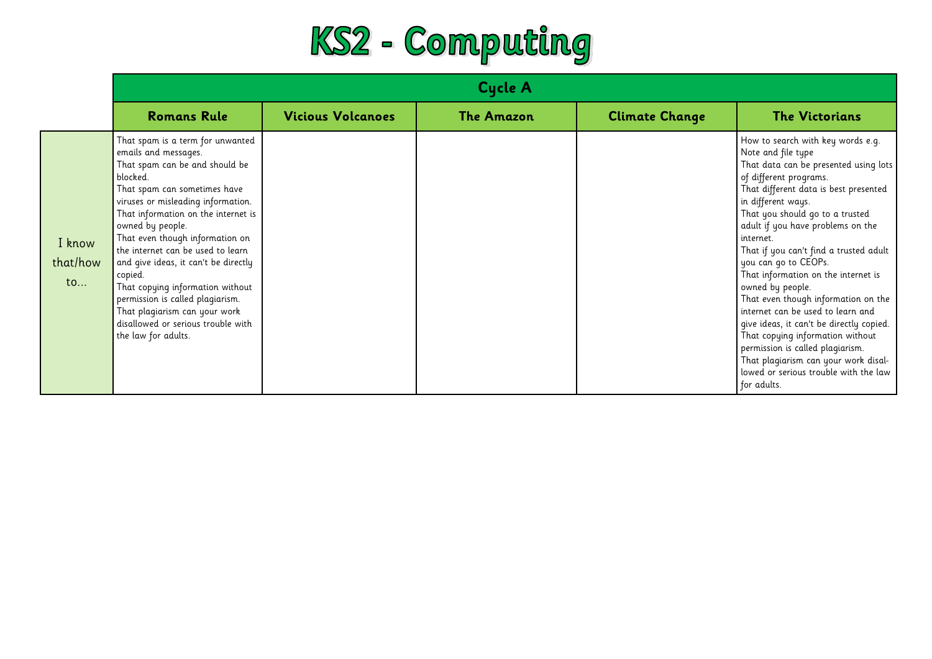

|                          | <b>Cycle A</b>                                                                                                                                                                                                                                                                                                                                                                                                                                                                                                                           |                          |                   |                       |                                                                                                                                                                                                                                                                                                                                                                                                                                                                                                                                                                                                                                                                                                             |
|--------------------------|------------------------------------------------------------------------------------------------------------------------------------------------------------------------------------------------------------------------------------------------------------------------------------------------------------------------------------------------------------------------------------------------------------------------------------------------------------------------------------------------------------------------------------------|--------------------------|-------------------|-----------------------|-------------------------------------------------------------------------------------------------------------------------------------------------------------------------------------------------------------------------------------------------------------------------------------------------------------------------------------------------------------------------------------------------------------------------------------------------------------------------------------------------------------------------------------------------------------------------------------------------------------------------------------------------------------------------------------------------------------|
|                          | <b>Romans Rule</b>                                                                                                                                                                                                                                                                                                                                                                                                                                                                                                                       | <b>Vicious Volcanoes</b> | <b>The Amazon</b> | <b>Climate Change</b> | <b>The Victorians</b>                                                                                                                                                                                                                                                                                                                                                                                                                                                                                                                                                                                                                                                                                       |
| I know<br>that/how<br>to | That spam is a term for unwanted<br>emails and messages.<br>That spam can be and should be<br>blocked.<br>That spam can sometimes have<br>viruses or misleading information.<br>That information on the internet is<br>owned by people.<br>That even though information on<br>the internet can be used to learn<br>and give ideas, it can't be directly<br>copied.<br>That copying information without<br>permission is called plagiarism.<br>That plagiarism can your work<br>disallowed or serious trouble with<br>the law for adults. |                          |                   |                       | How to search with key words e.g.<br>Note and file type<br>That data can be presented using lots<br>of different programs.<br>That different data is best presented<br>in different ways.<br>That you should go to a trusted<br>adult if you have problems on the<br>internet.<br>That if you can't find a trusted adult<br>you can go to CEOPs.<br>That information on the internet is<br>owned by people.<br>That even though information on the<br>internet can be used to learn and<br>give ideas, it can't be directly copied.<br>That copying information without<br>permission is called plagiarism.<br>That plagiarism can your work disal-<br>lowed or serious trouble with the law<br>for adults. |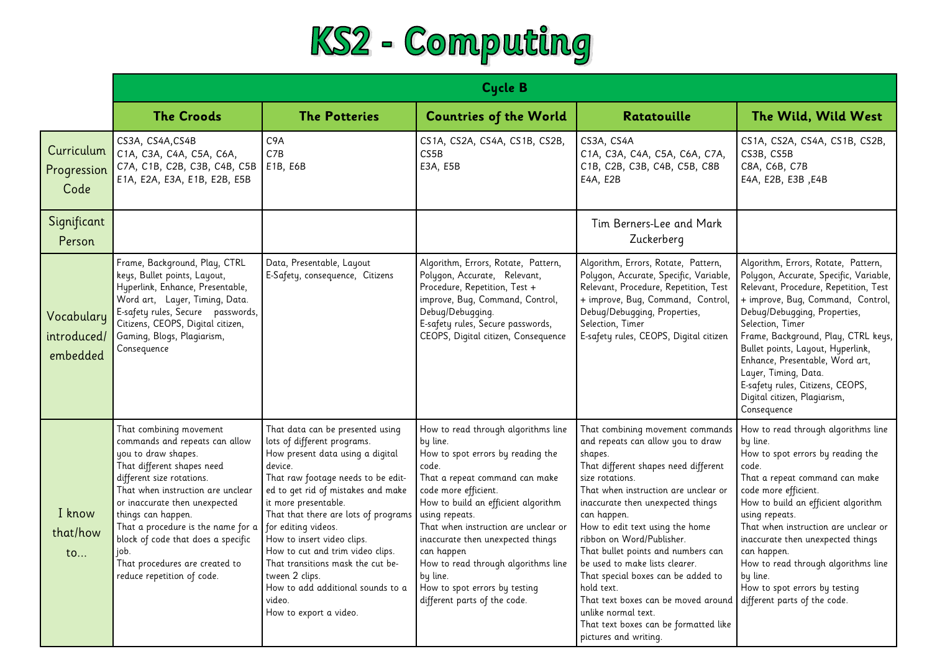

|                                       | Cycle B                                                                                                                                                                                                                                                                                                                                                                                     |                                                                                                                                                                                                                                                                                                                                                                                                                                                                                     |                                                                                                                                                                                                                                                                                                                                                                                                                                 |                                                                                                                                                                                                                                                                                                                                                                                                                                                                                                                                                                     |                                                                                                                                                                                                                                                                                                                                                                                                                                           |
|---------------------------------------|---------------------------------------------------------------------------------------------------------------------------------------------------------------------------------------------------------------------------------------------------------------------------------------------------------------------------------------------------------------------------------------------|-------------------------------------------------------------------------------------------------------------------------------------------------------------------------------------------------------------------------------------------------------------------------------------------------------------------------------------------------------------------------------------------------------------------------------------------------------------------------------------|---------------------------------------------------------------------------------------------------------------------------------------------------------------------------------------------------------------------------------------------------------------------------------------------------------------------------------------------------------------------------------------------------------------------------------|---------------------------------------------------------------------------------------------------------------------------------------------------------------------------------------------------------------------------------------------------------------------------------------------------------------------------------------------------------------------------------------------------------------------------------------------------------------------------------------------------------------------------------------------------------------------|-------------------------------------------------------------------------------------------------------------------------------------------------------------------------------------------------------------------------------------------------------------------------------------------------------------------------------------------------------------------------------------------------------------------------------------------|
|                                       | <b>The Croods</b>                                                                                                                                                                                                                                                                                                                                                                           | <b>The Potteries</b>                                                                                                                                                                                                                                                                                                                                                                                                                                                                | <b>Countries of the World</b>                                                                                                                                                                                                                                                                                                                                                                                                   | Ratatouille                                                                                                                                                                                                                                                                                                                                                                                                                                                                                                                                                         | The Wild, Wild West                                                                                                                                                                                                                                                                                                                                                                                                                       |
| Curriculum<br>Progression<br>Code     | CS3A, CS4A, CS4B<br>C1A, C3A, C4A, C5A, C6A,<br>C7A, C1B, C2B, C3B, C4B, C5B<br>E1A, E2A, E3A, E1B, E2B, E5B                                                                                                                                                                                                                                                                                | C <sub>9</sub> A<br>C7B<br>E1B, E6B                                                                                                                                                                                                                                                                                                                                                                                                                                                 | CS1A, CS2A, CS4A, CS1B, CS2B,<br>CS5B<br>E3A, E5B                                                                                                                                                                                                                                                                                                                                                                               | CS3A, CS4A<br>C1A, C3A, C4A, C5A, C6A, C7A,<br>C1B, C2B, C3B, C4B, C5B, C8B<br>E4A, E2B                                                                                                                                                                                                                                                                                                                                                                                                                                                                             | CS1A, CS2A, CS4A, CS1B, CS2B,<br>CS3B, CS5B<br>C8A, C6B, C7B<br>E4A, E2B, E3B, E4B                                                                                                                                                                                                                                                                                                                                                        |
| Significant<br>Person                 |                                                                                                                                                                                                                                                                                                                                                                                             |                                                                                                                                                                                                                                                                                                                                                                                                                                                                                     |                                                                                                                                                                                                                                                                                                                                                                                                                                 | Tim Berners-Lee and Mark<br>Zuckerberg                                                                                                                                                                                                                                                                                                                                                                                                                                                                                                                              |                                                                                                                                                                                                                                                                                                                                                                                                                                           |
| Vocabulary<br>introduced/<br>embedded | Frame, Background, Play, CTRL<br>keys, Bullet points, Layout,<br>Hyperlink, Enhance, Presentable,<br>Word art, Layer, Timing, Data.<br>E-safety rules, Secure passwords,<br>Citizens, CEOPS, Digital citizen,<br>Gaming, Blogs, Plagiarism,<br>Consequence                                                                                                                                  | Data, Presentable, Layout<br>E-Safety, consequence, Citizens                                                                                                                                                                                                                                                                                                                                                                                                                        | Algorithm, Errors, Rotate, Pattern,<br>Polygon, Accurate, Relevant,<br>Procedure, Repetition, Test +<br>improve, Bug, Command, Control,<br>Debug/Debugging.<br>E-safety rules, Secure passwords,<br>CEOPS, Digital citizen, Consequence                                                                                                                                                                                         | Algorithm, Errors, Rotate, Pattern,<br>Polygon, Accurate, Specific, Variable,<br>Relevant, Procedure, Repetition, Test<br>+ improve, Bug, Command, Control,<br>Debug/Debugging, Properties,<br>Selection, Timer<br>E-safety rules, CEOPS, Digital citizen                                                                                                                                                                                                                                                                                                           | Algorithm, Errors, Rotate, Pattern,<br>Polygon, Accurate, Specific, Variable,<br>Relevant, Procedure, Repetition, Test<br>+ improve, Bug, Command, Control,<br>Debug/Debugging, Properties,<br>Selection, Timer<br>Frame, Background, Play, CTRL keys,<br>Bullet points, Layout, Hyperlink,<br>Enhance, Presentable, Word art,<br>Layer, Timing, Data.<br>E-safety rules, Citizens, CEOPS,<br>Digital citizen, Plagiarism,<br>Consequence |
| I know<br>that/how<br>to              | That combining movement<br>commands and repeats can allow<br>you to draw shapes.<br>That different shapes need<br>different size rotations.<br>That when instruction are unclear<br>or inaccurate then unexpected<br>things can happen.<br>That a procedure is the name for a<br>block of code that does a specific<br>iob.<br>That procedures are created to<br>reduce repetition of code. | That data can be presented using<br>lots of different programs.<br>How present data using a digital<br>device.<br>That raw footage needs to be edit-<br>ed to get rid of mistakes and make<br>it more presentable.<br>That that there are lots of programs<br>for editing videos.<br>How to insert video clips.<br>How to cut and trim video clips.<br>That transitions mask the cut be-<br>tween 2 clips.<br>How to add additional sounds to a<br>video.<br>How to export a video. | How to read through algorithms line<br>by line.<br>How to spot errors by reading the<br>code.<br>That a repeat command can make<br>code more efficient.<br>How to build an efficient algorithm<br>using repeats.<br>That when instruction are unclear or<br>inaccurate then unexpected things<br>can happen<br>How to read through algorithms line<br>by line.<br>How to spot errors by testing<br>different parts of the code. | That combining movement commands<br>and repeats can allow you to draw<br>shapes.<br>That different shapes need different<br>size rotations.<br>That when instruction are unclear or<br>inaccurate then unexpected things<br>can happen.<br>How to edit text using the home<br>ribbon on Word/Publisher.<br>That bullet points and numbers can<br>be used to make lists clearer.<br>That special boxes can be added to<br>hold text.<br>That text boxes can be moved around<br>unlike normal text.<br>That text boxes can be formatted like<br>pictures and writing. | How to read through algorithms line<br>by line.<br>How to spot errors by reading the<br>code.<br>That a repeat command can make<br>code more efficient.<br>How to build an efficient algorithm<br>using repeats.<br>That when instruction are unclear or<br>inaccurate then unexpected things<br>can happen.<br>How to read through algorithms line<br>by line.<br>How to spot errors by testing<br>different parts of the code.          |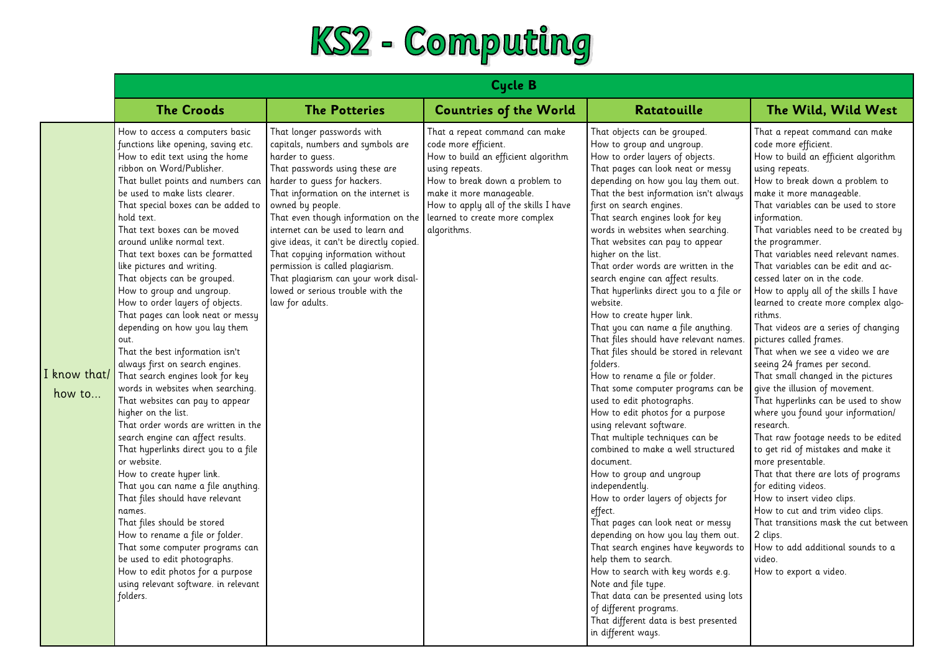

|                        | <b>Cycle B</b>                                                                                                                                                                                                                                                                                                                                                                                                                                                                                                                                                                                                                                                                                                                                                                                                                                                                                                                                                                                                                                                                                                                                                                                                                                                            |                                                                                                                                                                                                                                                                                                                                                                                                                                                                                                                                                 |                                                                                                                                                                                                                                       |                                                                                                                                                                                                                                                                                                                                                                                                                                                                                                                                                                                                                                                                                                                                                                                                                                                                                                                                                                                                                                                                                                                                                                                                                                                                                                                                                                                             |                                                                                                                                                                                                                                                                                                                                                                                                                                                                                                                                                                                                                                                                                                                                                                                                                                                                                                                                                                                                                                                                                                                                                                                  |  |
|------------------------|---------------------------------------------------------------------------------------------------------------------------------------------------------------------------------------------------------------------------------------------------------------------------------------------------------------------------------------------------------------------------------------------------------------------------------------------------------------------------------------------------------------------------------------------------------------------------------------------------------------------------------------------------------------------------------------------------------------------------------------------------------------------------------------------------------------------------------------------------------------------------------------------------------------------------------------------------------------------------------------------------------------------------------------------------------------------------------------------------------------------------------------------------------------------------------------------------------------------------------------------------------------------------|-------------------------------------------------------------------------------------------------------------------------------------------------------------------------------------------------------------------------------------------------------------------------------------------------------------------------------------------------------------------------------------------------------------------------------------------------------------------------------------------------------------------------------------------------|---------------------------------------------------------------------------------------------------------------------------------------------------------------------------------------------------------------------------------------|---------------------------------------------------------------------------------------------------------------------------------------------------------------------------------------------------------------------------------------------------------------------------------------------------------------------------------------------------------------------------------------------------------------------------------------------------------------------------------------------------------------------------------------------------------------------------------------------------------------------------------------------------------------------------------------------------------------------------------------------------------------------------------------------------------------------------------------------------------------------------------------------------------------------------------------------------------------------------------------------------------------------------------------------------------------------------------------------------------------------------------------------------------------------------------------------------------------------------------------------------------------------------------------------------------------------------------------------------------------------------------------------|----------------------------------------------------------------------------------------------------------------------------------------------------------------------------------------------------------------------------------------------------------------------------------------------------------------------------------------------------------------------------------------------------------------------------------------------------------------------------------------------------------------------------------------------------------------------------------------------------------------------------------------------------------------------------------------------------------------------------------------------------------------------------------------------------------------------------------------------------------------------------------------------------------------------------------------------------------------------------------------------------------------------------------------------------------------------------------------------------------------------------------------------------------------------------------|--|
|                        | <b>The Croods</b>                                                                                                                                                                                                                                                                                                                                                                                                                                                                                                                                                                                                                                                                                                                                                                                                                                                                                                                                                                                                                                                                                                                                                                                                                                                         | <b>The Potteries</b>                                                                                                                                                                                                                                                                                                                                                                                                                                                                                                                            | <b>Countries of the World</b>                                                                                                                                                                                                         | Ratatouille                                                                                                                                                                                                                                                                                                                                                                                                                                                                                                                                                                                                                                                                                                                                                                                                                                                                                                                                                                                                                                                                                                                                                                                                                                                                                                                                                                                 | The Wild, Wild West                                                                                                                                                                                                                                                                                                                                                                                                                                                                                                                                                                                                                                                                                                                                                                                                                                                                                                                                                                                                                                                                                                                                                              |  |
| I know that/<br>how to | How to access a computers basic<br>functions like opening, saving etc.<br>How to edit text using the home<br>ribbon on Word/Publisher.<br>That bullet points and numbers can<br>be used to make lists clearer.<br>That special boxes can be added to<br>hold text.<br>That text boxes can be moved<br>around unlike normal text.<br>That text boxes can be formatted<br>like pictures and writing.<br>That objects can be grouped.<br>How to group and ungroup.<br>How to order layers of objects.<br>That pages can look neat or messy<br>depending on how you lay them<br>out.<br>That the best information isn't<br>always first on search engines.<br>That search engines look for key<br>words in websites when searching.<br>That websites can pay to appear<br>higher on the list.<br>That order words are written in the<br>search engine can affect results.<br>That hyperlinks direct you to a file<br>or website.<br>How to create hyper link.<br>That you can name a file anything.<br>That files should have relevant<br>names.<br>That files should be stored<br>How to rename a file or folder.<br>That some computer programs can<br>be used to edit photographs.<br>How to edit photos for a purpose<br>using relevant software. in relevant<br>folders. | That longer passwords with<br>capitals, numbers and symbols are<br>harder to quess.<br>That passwords using these are<br>harder to quess for hackers.<br>That information on the internet is<br>owned by people.<br>That even though information on the learned to create more complex<br>internet can be used to learn and<br>give ideas, it can't be directly copied.<br>That copying information without<br>permission is called plagiarism.<br>That plagiarism can your work disal-<br>lowed or serious trouble with the<br>law for adults. | That a repeat command can make<br>code more efficient.<br>How to build an efficient algorithm<br>using repeats.<br>How to break down a problem to<br>make it more manageable.<br>How to apply all of the skills I have<br>algorithms. | That objects can be grouped.<br>How to group and ungroup.<br>How to order layers of objects.<br>That pages can look neat or messy<br>depending on how you lay them out.<br>That the best information isn't always<br>first on search engines.<br>That search engines look for key<br>words in websites when searching.<br>That websites can pay to appear<br>higher on the list.<br>That order words are written in the<br>search engine can affect results.<br>That hyperlinks direct you to a file or<br>website.<br>How to create hyper link.<br>That you can name a file anything.<br>That files should have relevant names.<br>That files should be stored in relevant<br>folders.<br>How to rename a file or folder.<br>That some computer programs can be<br>used to edit photographs.<br>How to edit photos for a purpose<br>using relevant software.<br>That multiple techniques can be<br>combined to make a well structured<br>document.<br>How to group and ungroup<br>independently.<br>How to order layers of objects for<br>effect.<br>That pages can look neat or messy<br>depending on how you lay them out.<br>That search engines have keywords to<br>help them to search.<br>How to search with key words e.g.<br>Note and file type.<br>That data can be presented using lots<br>of different programs.<br>That different data is best presented<br>in different ways. | That a repeat command can make<br>code more efficient.<br>How to build an efficient algorithm<br>using repeats.<br>How to break down a problem to<br>make it more manageable.<br>That variables can be used to store<br>information.<br>That variables need to be created by<br>the programmer.<br>That variables need relevant names.<br>That variables can be edit and ac-<br>cessed later on in the code.<br>How to apply all of the skills I have<br>learned to create more complex algo-<br>rithms.<br>That videos are a series of changing<br>pictures called frames.<br>That when we see a video we are<br>seeing 24 frames per second.<br>That small changed in the pictures<br>give the illusion of movement.<br>That hyperlinks can be used to show<br>where you found your information/<br>research.<br>That raw footage needs to be edited<br>to get rid of mistakes and make it<br>more presentable.<br>That that there are lots of programs<br>for editing videos.<br>How to insert video clips.<br>How to cut and trim video clips.<br>That transitions mask the cut between<br>2 clips.<br>How to add additional sounds to a<br>video.<br>How to export a video. |  |